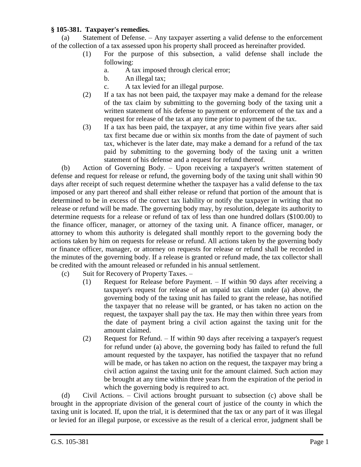## **§ 105-381. Taxpayer's remedies.**

(a) Statement of Defense. – Any taxpayer asserting a valid defense to the enforcement of the collection of a tax assessed upon his property shall proceed as hereinafter provided.

- (1) For the purpose of this subsection, a valid defense shall include the following:
	- a. A tax imposed through clerical error;
	- b. An illegal tax;
	- c. A tax levied for an illegal purpose.
- (2) If a tax has not been paid, the taxpayer may make a demand for the release of the tax claim by submitting to the governing body of the taxing unit a written statement of his defense to payment or enforcement of the tax and a request for release of the tax at any time prior to payment of the tax.
- (3) If a tax has been paid, the taxpayer, at any time within five years after said tax first became due or within six months from the date of payment of such tax, whichever is the later date, may make a demand for a refund of the tax paid by submitting to the governing body of the taxing unit a written statement of his defense and a request for refund thereof.

(b) Action of Governing Body. – Upon receiving a taxpayer's written statement of defense and request for release or refund, the governing body of the taxing unit shall within 90 days after receipt of such request determine whether the taxpayer has a valid defense to the tax imposed or any part thereof and shall either release or refund that portion of the amount that is determined to be in excess of the correct tax liability or notify the taxpayer in writing that no release or refund will be made. The governing body may, by resolution, delegate its authority to determine requests for a release or refund of tax of less than one hundred dollars (\$100.00) to the finance officer, manager, or attorney of the taxing unit. A finance officer, manager, or attorney to whom this authority is delegated shall monthly report to the governing body the actions taken by him on requests for release or refund. All actions taken by the governing body or finance officer, manager, or attorney on requests for release or refund shall be recorded in the minutes of the governing body. If a release is granted or refund made, the tax collector shall be credited with the amount released or refunded in his annual settlement.

- (c) Suit for Recovery of Property Taxes.
	- (1) Request for Release before Payment. If within 90 days after receiving a taxpayer's request for release of an unpaid tax claim under (a) above, the governing body of the taxing unit has failed to grant the release, has notified the taxpayer that no release will be granted, or has taken no action on the request, the taxpayer shall pay the tax. He may then within three years from the date of payment bring a civil action against the taxing unit for the amount claimed.
	- (2) Request for Refund. If within 90 days after receiving a taxpayer's request for refund under (a) above, the governing body has failed to refund the full amount requested by the taxpayer, has notified the taxpayer that no refund will be made, or has taken no action on the request, the taxpayer may bring a civil action against the taxing unit for the amount claimed. Such action may be brought at any time within three years from the expiration of the period in which the governing body is required to act.

(d) Civil Actions. – Civil actions brought pursuant to subsection (c) above shall be brought in the appropriate division of the general court of justice of the county in which the taxing unit is located. If, upon the trial, it is determined that the tax or any part of it was illegal or levied for an illegal purpose, or excessive as the result of a clerical error, judgment shall be